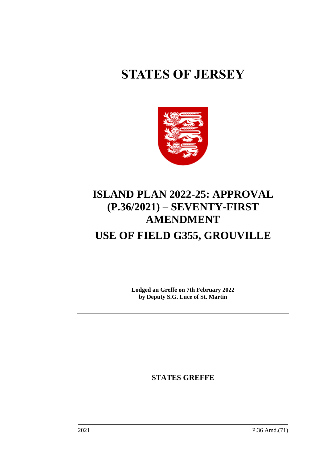# **STATES OF JERSEY**



# **ISLAND PLAN 2022-25: APPROVAL (P.36/2021) – SEVENTY-FIRST AMENDMENT USE OF FIELD G355, GROUVILLE**

**Lodged au Greffe on 7th February 2022 by Deputy S.G. Luce of St. Martin**

**STATES GREFFE**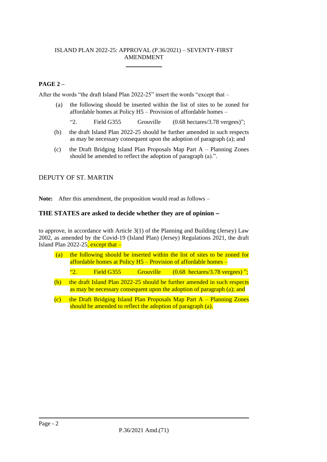#### ISLAND PLAN 2022-25: APPROVAL (P.36/2021) – SEVENTY-FIRST AMENDMENT \_\_\_\_\_\_\_\_\_\_\_\_

## **PAGE 2 –**

After the words "the draft Island Plan 2022-25" insert the words "except that –

- (a) the following should be inserted within the list of sites to be zoned for affordable homes at Policy H5 – Provision of affordable homes –
	- "2. Field G355 Grouville (0.68 hectares/3.78 vergees)";
- (b) the draft Island Plan 2022-25 should be further amended in such respects as may be necessary consequent upon the adoption of paragraph (a); and
- (c) the Draft Bridging Island Plan Proposals Map Part A Planning Zones should be amended to reflect the adoption of paragraph (a).".

### DEPUTY OF ST. MARTIN

**Note:** After this amendment, the proposition would read as follows –

### **THE STATES are asked to decide whether they are of opinion** −

to approve, in accordance with Article 3(1) of the Planning and Building (Jersey) Law 2002, as amended by the Covid-19 (Island Plan) (Jersey) Regulations 2021, the draft Island Plan 2022-25, except that  $-$ 

| (a) | the following should be inserted within the list of sites to be zoned for<br>affordable homes at Policy $H5$ – Provision of affordable homes –     |            |                  |  |                                                   |
|-----|----------------------------------------------------------------------------------------------------------------------------------------------------|------------|------------------|--|---------------------------------------------------|
|     | $^{66}2^{+1}$                                                                                                                                      | Field G355 | <b>Grouville</b> |  | $(0.68 \text{ hectares}/3.78 \text{ vergees})$ "; |
| (b) | the draft Island Plan 2022-25 should be further amended in such respects<br>as may be necessary consequent upon the adoption of paragraph (a); and |            |                  |  |                                                   |

(c) the Draft Bridging Island Plan Proposals Map Part A – Planning Zones should be amended to reflect the adoption of paragraph (a).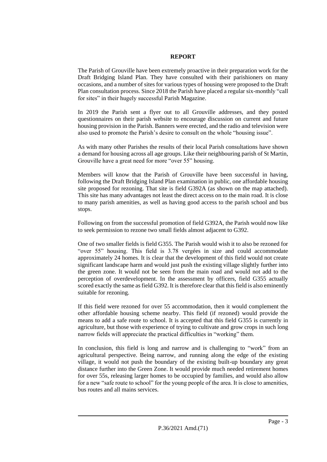#### **REPORT**

The Parish of Grouville have been extremely proactive in their preparation work for the Draft Bridging Island Plan. They have consulted with their parishioners on many occasions, and a number of sites for various types of housing were proposed to the Draft Plan consultation process. Since 2018 the Parish have placed a regular six-monthly "call for sites" in their hugely successful Parish Magazine.

In 2019 the Parish sent a flyer out to all Grouville addresses, and they posted questionnaires on their parish website to encourage discussion on current and future housing provision in the Parish. Banners were erected, and the radio and television were also used to promote the Parish's desire to consult on the whole "housing issue".

As with many other Parishes the results of their local Parish consultations have shown a demand for housing across all age groups. Like their neighbouring parish of St Martin, Grouville have a great need for more "over 55" housing.

Members will know that the Parish of Grouville have been successful in having, following the Draft Bridging Island Plan examination in public, one affordable housing site proposed for rezoning. That site is field G392A (as shown on the map attached). This site has many advantages not least the direct access on to the main road. It is close to many parish amenities, as well as having good access to the parish school and bus stops.

Following on from the successful promotion of field G392A, the Parish would now like to seek permission to rezone two small fields almost adjacent to G392.

One of two smaller fields is field G355. The Parish would wish it to also be rezoned for "over 55" housing. This field is 3.78 vergées in size and could accommodate approximately 24 homes. It is clear that the development of this field would not create significant landscape harm and would just push the existing village slightly further into the green zone. It would not be seen from the main road and would not add to the perception of overdevelopment. In the assessment by officers, field G355 actually scored exactly the same as field G392. It is therefore clear that this field is also eminently suitable for rezoning.

If this field were rezoned for over 55 accommodation, then it would complement the other affordable housing scheme nearby. This field (if rezoned) would provide the means to add a safe route to school. It is accepted that this field G355 is currently in agriculture, but those with experience of trying to cultivate and grow crops in such long narrow fields will appreciate the practical difficulties in "working" them.

In conclusion, this field is long and narrow and is challenging to "work" from an agricultural perspective. Being narrow, and running along the edge of the existing village, it would not push the boundary of the existing built-up boundary any great distance further into the Green Zone. It would provide much needed retirement homes for over 55s, releasing larger homes to be occupied by families, and would also allow for a new "safe route to school" for the young people of the area. It is close to amenities, bus routes and all mains services.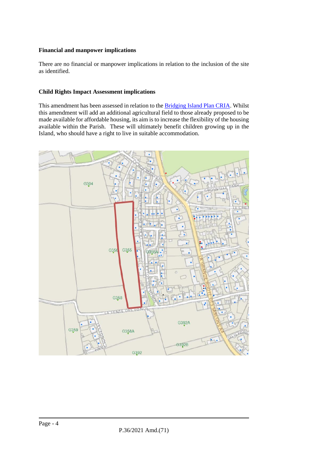#### **Financial and manpower implications**

There are no financial or manpower implications in relation to the inclusion of the site as identified.

#### **Child Rights Impact Assessment implications**

This amendment has been assessed in relation to the [Bridging Island Plan CRIA.](https://www.gov.je/SiteCollectionDocuments/Planning%20and%20building/R%20Children%27s%20Rights%20Impact%20Assessment%20ND.pdf) Whilst this amendment will add an additional agricultural field to those already proposed to be made available for affordable housing, its aim is to increase the flexibility of the housing available within the Parish. These will ultimately benefit children growing up in the Island, who should have a right to live in suitable accommodation.